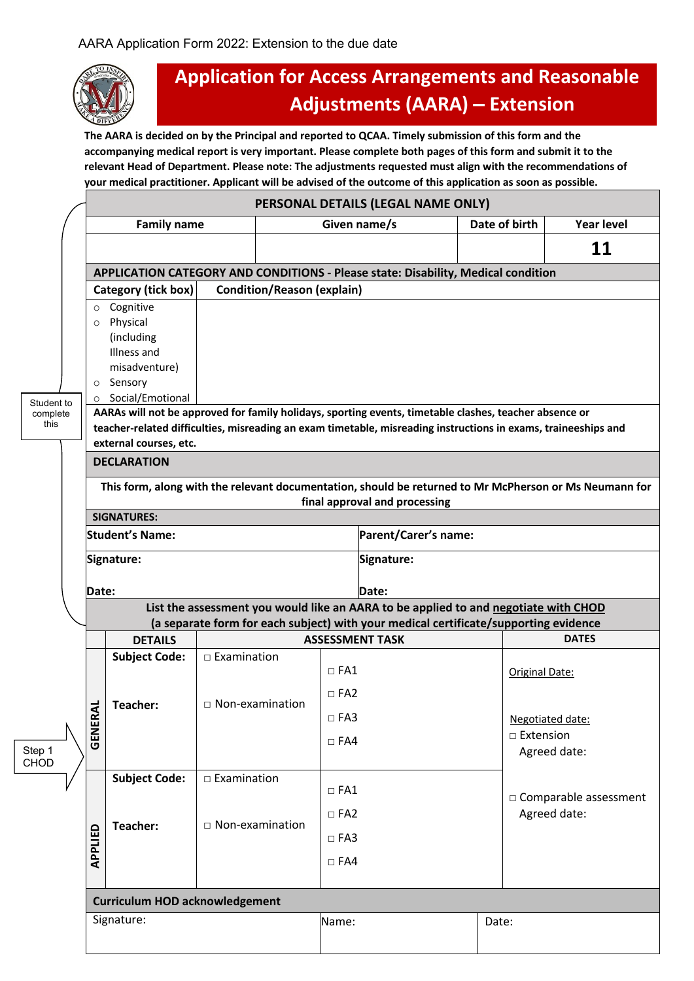

## **Application for Access Arrangements and Reasonable Adjustments (AARA) – Extension**

**The AARA is decided on by the Principal and reported to QCAA. Timely submission of this form and the accompanying medical report is very important. Please complete both pages of this form and submit it to the relevant Head of Department. Please note: The adjustments requested must align with the recommendations of your medical practitioner. Applicant will be advised of the outcome of this application as soon as possible.**

|                       | PERSONAL DETAILS (LEGAL NAME ONLY)                                                                                                                                                                                       |                                       |                                                                                      |                        |                      |               |                         |  |  |  |
|-----------------------|--------------------------------------------------------------------------------------------------------------------------------------------------------------------------------------------------------------------------|---------------------------------------|--------------------------------------------------------------------------------------|------------------------|----------------------|---------------|-------------------------|--|--|--|
|                       |                                                                                                                                                                                                                          | <b>Family name</b>                    |                                                                                      | Given name/s           |                      | Date of birth | <b>Year level</b>       |  |  |  |
|                       |                                                                                                                                                                                                                          |                                       |                                                                                      |                        |                      |               | 11                      |  |  |  |
|                       | APPLICATION CATEGORY AND CONDITIONS - Please state: Disability, Medical condition                                                                                                                                        |                                       |                                                                                      |                        |                      |               |                         |  |  |  |
|                       |                                                                                                                                                                                                                          | Category (tick box)                   | <b>Condition/Reason (explain)</b>                                                    |                        |                      |               |                         |  |  |  |
|                       | $\circ$                                                                                                                                                                                                                  | Cognitive                             |                                                                                      |                        |                      |               |                         |  |  |  |
|                       | $\circ$                                                                                                                                                                                                                  | Physical                              |                                                                                      |                        |                      |               |                         |  |  |  |
|                       |                                                                                                                                                                                                                          | (including<br>Illness and             |                                                                                      |                        |                      |               |                         |  |  |  |
|                       | misadventure)                                                                                                                                                                                                            |                                       |                                                                                      |                        |                      |               |                         |  |  |  |
|                       | Sensory<br>$\circ$                                                                                                                                                                                                       |                                       |                                                                                      |                        |                      |               |                         |  |  |  |
| Student to            | Social/Emotional<br>$\circ$                                                                                                                                                                                              |                                       |                                                                                      |                        |                      |               |                         |  |  |  |
| complete<br>this      | AARAs will not be approved for family holidays, sporting events, timetable clashes, teacher absence or<br>teacher-related difficulties, misreading an exam timetable, misreading instructions in exams, traineeships and |                                       |                                                                                      |                        |                      |               |                         |  |  |  |
|                       | external courses, etc.                                                                                                                                                                                                   |                                       |                                                                                      |                        |                      |               |                         |  |  |  |
|                       | <b>DECLARATION</b>                                                                                                                                                                                                       |                                       |                                                                                      |                        |                      |               |                         |  |  |  |
|                       | This form, along with the relevant documentation, should be returned to Mr McPherson or Ms Neumann for                                                                                                                   |                                       |                                                                                      |                        |                      |               |                         |  |  |  |
|                       | final approval and processing                                                                                                                                                                                            |                                       |                                                                                      |                        |                      |               |                         |  |  |  |
|                       | <b>SIGNATURES:</b>                                                                                                                                                                                                       |                                       |                                                                                      |                        |                      |               |                         |  |  |  |
|                       | <b>Student's Name:</b>                                                                                                                                                                                                   |                                       |                                                                                      |                        | Parent/Carer's name: |               |                         |  |  |  |
|                       | Signature:                                                                                                                                                                                                               |                                       |                                                                                      |                        | Signature:           |               |                         |  |  |  |
|                       | Date:                                                                                                                                                                                                                    |                                       |                                                                                      |                        | Date:                |               |                         |  |  |  |
|                       | List the assessment you would like an AARA to be applied to and negotiate with CHOD                                                                                                                                      |                                       |                                                                                      |                        |                      |               |                         |  |  |  |
|                       |                                                                                                                                                                                                                          |                                       |                                                                                      |                        |                      |               |                         |  |  |  |
|                       |                                                                                                                                                                                                                          |                                       | (a separate form for each subject) with your medical certificate/supporting evidence |                        |                      |               |                         |  |  |  |
|                       |                                                                                                                                                                                                                          | <b>DETAILS</b>                        |                                                                                      | <b>ASSESSMENT TASK</b> |                      |               | <b>DATES</b>            |  |  |  |
|                       |                                                                                                                                                                                                                          | <b>Subject Code:</b>                  | $\Box$ Examination                                                                   |                        |                      |               |                         |  |  |  |
|                       |                                                                                                                                                                                                                          |                                       |                                                                                      | $\Box$ FA1             |                      |               | Original Date:          |  |  |  |
|                       |                                                                                                                                                                                                                          | Teacher:                              | $\Box$ Non-examination                                                               | $\Box$ FA2             |                      |               |                         |  |  |  |
|                       | ₹                                                                                                                                                                                                                        |                                       |                                                                                      | $\square$ FA3          |                      |               | Negotiated date:        |  |  |  |
|                       | GENER                                                                                                                                                                                                                    |                                       |                                                                                      | $\square$ FA4          |                      |               | □ Extension             |  |  |  |
| Step 1<br><b>CHOD</b> |                                                                                                                                                                                                                          |                                       |                                                                                      |                        |                      |               | Agreed date:            |  |  |  |
|                       |                                                                                                                                                                                                                          | <b>Subject Code:</b>                  | $\Box$ Examination                                                                   |                        |                      |               |                         |  |  |  |
|                       |                                                                                                                                                                                                                          |                                       |                                                                                      | $\Box$ FA1             |                      |               | □ Comparable assessment |  |  |  |
|                       |                                                                                                                                                                                                                          |                                       |                                                                                      | $\Box$ FA2             |                      |               | Agreed date:            |  |  |  |
|                       |                                                                                                                                                                                                                          | Teacher:                              | $\Box$ Non-examination                                                               | $\Box$ FA3             |                      |               |                         |  |  |  |
|                       | APPLIED                                                                                                                                                                                                                  |                                       |                                                                                      | $\square$ FA4          |                      |               |                         |  |  |  |
|                       |                                                                                                                                                                                                                          |                                       |                                                                                      |                        |                      |               |                         |  |  |  |
|                       |                                                                                                                                                                                                                          | <b>Curriculum HOD acknowledgement</b> |                                                                                      |                        |                      |               |                         |  |  |  |
|                       |                                                                                                                                                                                                                          | Signature:                            |                                                                                      | Name:                  |                      | Date:         |                         |  |  |  |
|                       |                                                                                                                                                                                                                          |                                       |                                                                                      |                        |                      |               |                         |  |  |  |